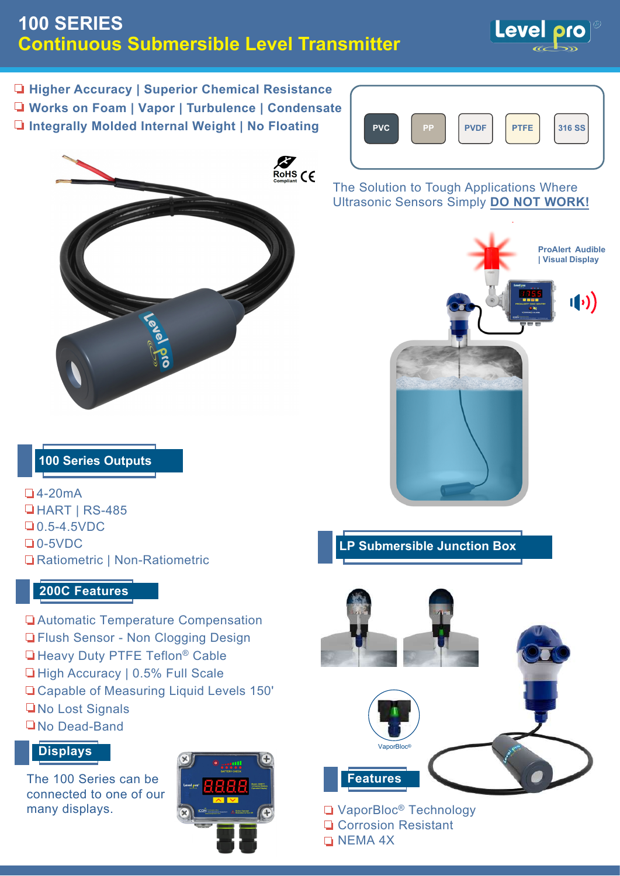# **100 SERIES Continuous Submersible Level Transmitter**



**Higher Accuracy | Superior Chemical Resistance**

- **Works on Foam | Vapor | Turbulence | Condensate**
- **Integrally Molded Internal Weight | No Floating | PVC | PP | PVDF | PTFE**





The Solution to Tough Applications Where Ultrasonic Sensors Simply **DO NOT WORK!**



### **100 Series Outputs**

4-20mA **HART | RS-485 0.5-4.5VDC** 0-5VDC Ratiometric | Non-Ratiometric

### **200C Features**

Automatic Temperature Compensation **T** Flush Sensor - Non Clogging Design **Heavy Duty PTFE Teflon<sup>®</sup> Cable** □ High Accuracy | 0.5% Full Scale

- Capable of Measuring Liquid Levels 150'
- **No Lost Signals**
- No Dead-Band

### **Displays**

The 100 Series can be connected to one of our many displays.







□ VaporBloc<sup>®</sup> Technology **Q** Corrosion Resistant **NEMA 4X**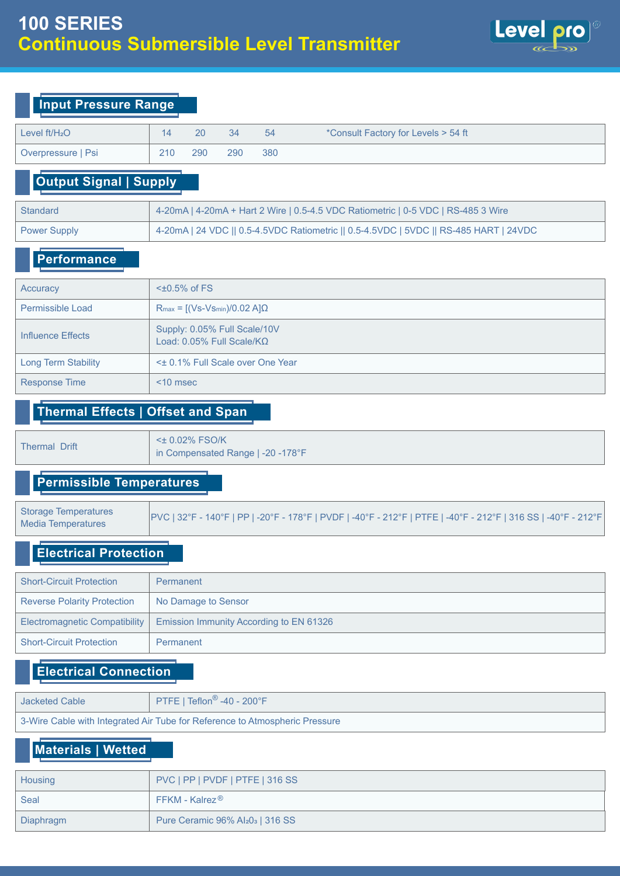

| <b>Input Pressure Range</b>   |             |                                                                                       |     |     |                                                                                   |  |  |  |  |
|-------------------------------|-------------|---------------------------------------------------------------------------------------|-----|-----|-----------------------------------------------------------------------------------|--|--|--|--|
| Level $ft/H2O$                | 14          | 20                                                                                    | 34  | 54  | *Consult Factory for Levels > 54 ft                                               |  |  |  |  |
| Overpressure   Psi            | 210         | 290                                                                                   | 290 | 380 |                                                                                   |  |  |  |  |
| <b>Output Signal   Supply</b> |             |                                                                                       |     |     |                                                                                   |  |  |  |  |
| <b>Standard</b>               |             |                                                                                       |     |     | 4-20mA   4-20mA + Hart 2 Wire   0.5-4.5 VDC Ratiometric   0-5 VDC   RS-485 3 Wire |  |  |  |  |
| <b>Power Supply</b>           |             | 4-20mA   24 VDC    0.5-4.5VDC Ratiometric    0.5-4.5VDC   5VDC    RS-485 HART   24VDC |     |     |                                                                                   |  |  |  |  |
| <b>Performance</b>            |             |                                                                                       |     |     |                                                                                   |  |  |  |  |
| Accuracy                      |             | $\leq$ +0.5% of FS                                                                    |     |     |                                                                                   |  |  |  |  |
| Permissible Load              |             | $R_{max} = [(Vs-Vs_{min})/0.02 A]\Omega$                                              |     |     |                                                                                   |  |  |  |  |
| <b>Influence Effects</b>      |             | Supply: 0.05% Full Scale/10V<br>Load: $0.05\%$ Full Scale/KQ                          |     |     |                                                                                   |  |  |  |  |
| <b>Long Term Stability</b>    |             | < $\pm$ 0.1% Full Scale over One Year                                                 |     |     |                                                                                   |  |  |  |  |
| <b>Response Time</b>          | $<$ 10 msec |                                                                                       |     |     |                                                                                   |  |  |  |  |

#### **Thermal Effects | Offset and Span**

<± 0.02% FSO/K Thermal Drift  $\begin{bmatrix} 5 & 0.02 & 75 & 0.06 \\ \text{in Compenasted Range } 1 & -20 & -178 \end{bmatrix}$ 

### **Permissible Temperatures**

Storage Temperatures |<br>Note to Temperatures | PVC | 32°F - 140°F | PP | -20°F - 178°F | PVDF | -40°F - 212°F | PTFE | -40°F - 212°F | 316 SS | -40°F - 212°F Media Temperatures

## **Electrical Protection**

| <b>Short-Circuit Protection</b>    | Permanent                                      |
|------------------------------------|------------------------------------------------|
| <b>Reverse Polarity Protection</b> | No Damage to Sensor                            |
| Electromagnetic Compatibility      | <b>Emission Immunity According to EN 61326</b> |
| <b>Short-Circuit Protection</b>    | Permanent                                      |

### **Electrical Connection**

| Jacketed Cable                                                              | PTFE   Teflon <sup>®</sup> -40 - 200°F |  |  |  |  |  |
|-----------------------------------------------------------------------------|----------------------------------------|--|--|--|--|--|
| 3-Wire Cable with Integrated Air Tube for Reference to Atmospheric Pressure |                                        |  |  |  |  |  |

## **Materials | Wetted**

| Housing   | PVC   PP   PVDF   PTFE   316 SS                             |  |  |  |  |
|-----------|-------------------------------------------------------------|--|--|--|--|
| Seal      | $FFKM$ - Kalrez $^{\circledR}$                              |  |  |  |  |
| Diaphragm | Pure Ceramic $96\%$ Al <sub>2</sub> 0 <sub>3</sub>   316 SS |  |  |  |  |